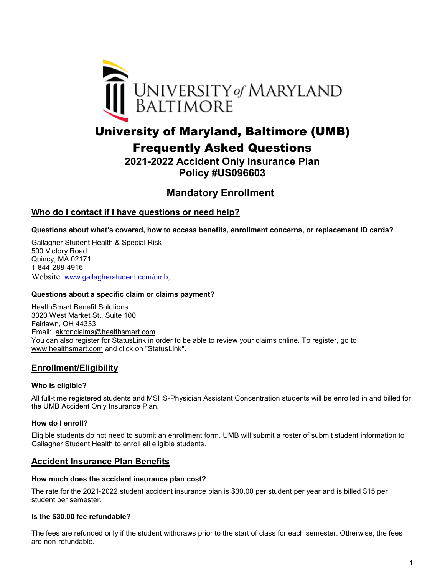

# University of Maryland, Baltimore (UMB)

Frequently Asked Questions

**2021-2022 Accident Only Insurance Plan Policy #US096603** 

# **Mandatory Enrollment**

# **Who do I contact if I have questions or need help?**

**Questions about what's covered, how to access benefits, enrollment concerns, or replacement ID cards?**

Gallagher Student Health & Special Risk 500 Victory Road Quincy, MA 02171 1-844-288-4916 Website: [www.gallagherstudent.com/umb,](http://www.gallagherstudent.com/umb)

# **Questions about a specific claim or claims payment?**

HealthSmart Benefit Solutions 3320 West Market St., Suite 100 Fairlawn, OH 44333 Email: [akronclaims@healthsmart.com](mailto:akronclaims@healthsmart.com) You can also register for StatusLink in order to be able to review your claims online. To register, go to [www.healthsmart.com](http://www.healthsmart.com/) and click on "StatusLink".

# **Enrollment/Eligibility**

# **Who is eligible?**

All full-time registered students and MSHS-Physician Assistant Concentration students will be enrolled in and billed for the UMB Accident Only Insurance Plan.

# **How do I enroll?**

Eligible students do not need to submit an enrollment form. UMB will submit a roster of submit student information to Gallagher Student Health to enroll all eligible students.

# **Accident Insurance Plan Benefits**

#### **How much does the accident insurance plan cost?**

The rate for the 2021-2022 student accident insurance plan is \$30.00 per student per year and is billed \$15 per student per semester.

#### **Is the \$30.00 fee refundable?**

The fees are refunded only if the student withdraws prior to the start of class for each semester. Otherwise, the fees are non-refundable.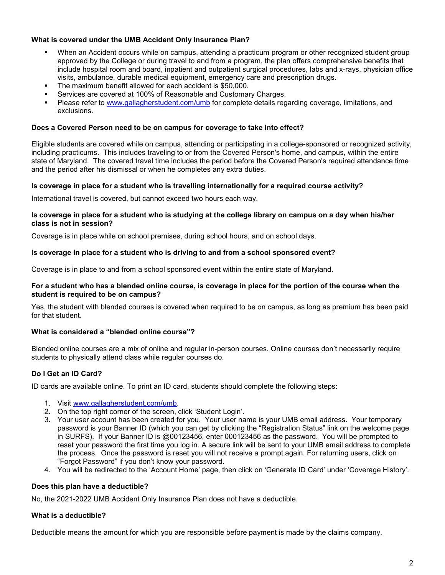# **What is covered under the UMB Accident Only Insurance Plan?**

- When an Accident occurs while on campus, attending a practicum program or other recognized student group approved by the College or during travel to and from a program, the plan offers comprehensive benefits that include hospital room and board, inpatient and outpatient surgical procedures, labs and x-rays, physician office visits, ambulance, durable medical equipment, emergency care and prescription drugs.
- The maximum benefit allowed for each accident is \$50,000.
- Services are covered at 100% of Reasonable and Customary Charges.
- Please refer to [www.gallagherstudent.com/umb](http://www.gallagherstudent.com/umb) for complete details regarding coverage, limitations, and exclusions.

# **Does a Covered Person need to be on campus for coverage to take into effect?**

Eligible students are covered while on campus, attending or participating in a college-sponsored or recognized activity, including practicums. This includes traveling to or from the Covered Person's home, and campus, within the entire state of Maryland. The covered travel time includes the period before the Covered Person's required attendance time and the period after his dismissal or when he completes any extra duties.

# **Is coverage in place for a student who is travelling internationally for a required course activity?**

International travel is covered, but cannot exceed two hours each way.

#### **Is coverage in place for a student who is studying at the college library on campus on a day when his/her class is not in session?**

Coverage is in place while on school premises, during school hours, and on school days.

# **Is coverage in place for a student who is driving to and from a school sponsored event?**

Coverage is in place to and from a school sponsored event within the entire state of Maryland.

#### **For a student who has a blended online course, is coverage in place for the portion of the course when the student is required to be on campus?**

Yes, the student with blended courses is covered when required to be on campus, as long as premium has been paid for that student.

# **What is considered a "blended online course"?**

Blended online courses are a mix of online and regular in-person courses. Online courses don't necessarily require students to physically attend class while regular courses do.

# **Do I Get an ID Card?**

ID cards are available online. To print an ID card, students should complete the following steps:

- 1. Visit [www.gallagherstudent.com/umb.](http://www.gallagherstudent.com/umb)
- 2. On the top right corner of the screen, click 'Student Login'.
- 3. Your user account has been created for you. Your user name is your UMB email address. Your temporary password is your Banner ID (which you can get by clicking the "Registration Status" link on the welcome page in SURFS). If your Banner ID is @00123456, enter 000123456 as the password. You will be prompted to reset your password the first time you log in. A secure link will be sent to your UMB email address to complete the process. Once the password is reset you will not receive a prompt again. For returning users, click on "Forgot Password" if you don't know your password.
- 4. You will be redirected to the 'Account Home' page, then click on 'Generate ID Card' under 'Coverage History'.

# **Does this plan have a deductible?**

No, the 2021-2022 UMB Accident Only Insurance Plan does not have a deductible.

# **What is a deductible?**

Deductible means the amount for which you are responsible before payment is made by the claims company.